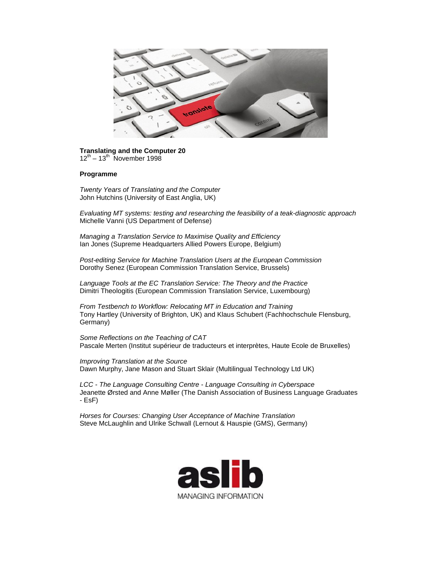

## **Translating and the Computer 20**  $12^{th}$  –  $13^{th}$  November 1998

## **Programme**

*Twenty Years of Translating and the Computer* John Hutchins (University of East Anglia, UK)

*Evaluating MT systems: testing and researching the feasibility of a teak-diagnostic approach* Michelle Vanni (US Department of Defense)

*Managing a Translation Service to Maximise Quality and Efficiency* Ian Jones (Supreme Headquarters Allied Powers Europe, Belgium)

*Post-editing Service for Machine Translation Users at the European Commission* Dorothy Senez (European Commission Translation Service, Brussels)

*Language Tools at the EC Translation Service: The Theory and the Practice* Dimitri Theologitis (European Commission Translation Service, Luxembourg)

*From Testbench to Workflow: Relocating MT in Education and Training* Tony Hartley (University of Brighton, UK) and Klaus Schubert (Fachhochschule Flensburg, Germany)

*Some Reflections on the Teaching of CAT* Pascale Merten (Institut supérieur de traducteurs et interprètes, Haute Ecole de Bruxelles)

*Improving Translation at the Source* Dawn Murphy, Jane Mason and Stuart Sklair (Multilingual Technology Ltd UK)

*LCC - The Language Consulting Centre - Language Consulting in Cyberspace* Jeanette Ørsted and Anne Møller (The Danish Association of Business Language Graduates - EsF)

*Horses for Courses: Changing User Acceptance of Machine Translation* Steve McLaughlin and Ulrike Schwall (Lernout & Hauspie (GMS), Germany)